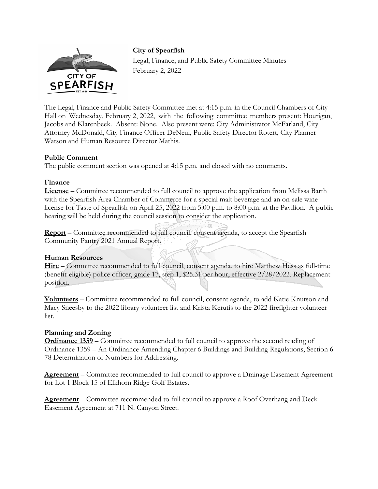

**City of Spearfish**  Legal, Finance, and Public Safety Committee Minutes February 2, 2022

The Legal, Finance and Public Safety Committee met at 4:15 p.m. in the Council Chambers of City Hall on Wednesday, February 2, 2022, with the following committee members present: Hourigan, Jacobs and Klarenbeek. Absent: None. Also present were: City Administrator McFarland, City Attorney McDonald, City Finance Officer DeNeui, Public Safety Director Rotert, City Planner Watson and Human Resource Director Mathis.

## **Public Comment**

The public comment section was opened at 4:15 p.m. and closed with no comments.

## **Finance**

**License** – Committee recommended to full council to approve the application from Melissa Barth with the Spearfish Area Chamber of Commerce for a special malt beverage and an on-sale wine license for Taste of Spearfish on April 25, 2022 from 5:00 p.m. to 8:00 p.m. at the Pavilion. A public hearing will be held during the council session to consider the application.

**Report** – Committee recommended to full council, consent agenda, to accept the Spearfish Community Pantry 2021 Annual Report.

## **Human Resources**

**Hire** – Committee recommended to full council, consent agenda, to hire Matthew Hess as full-time (benefit-eligible) police officer, grade 17, step 1, \$25.31 per hour, effective 2/28/2022. Replacement position.

**Volunteers** – Committee recommended to full council, consent agenda, to add Katie Knutson and Macy Sneesby to the 2022 library volunteer list and Krista Kerutis to the 2022 firefighter volunteer list.

## **Planning and Zoning**

**Ordinance 1359** – Committee recommended to full council to approve the second reading of Ordinance 1359 – An Ordinance Amending Chapter 6 Buildings and Building Regulations, Section 6- 78 Determination of Numbers for Addressing.

**Agreement** – Committee recommended to full council to approve a Drainage Easement Agreement for Lot 1 Block 15 of Elkhorn Ridge Golf Estates.

**Agreement** – Committee recommended to full council to approve a Roof Overhang and Deck Easement Agreement at 711 N. Canyon Street.